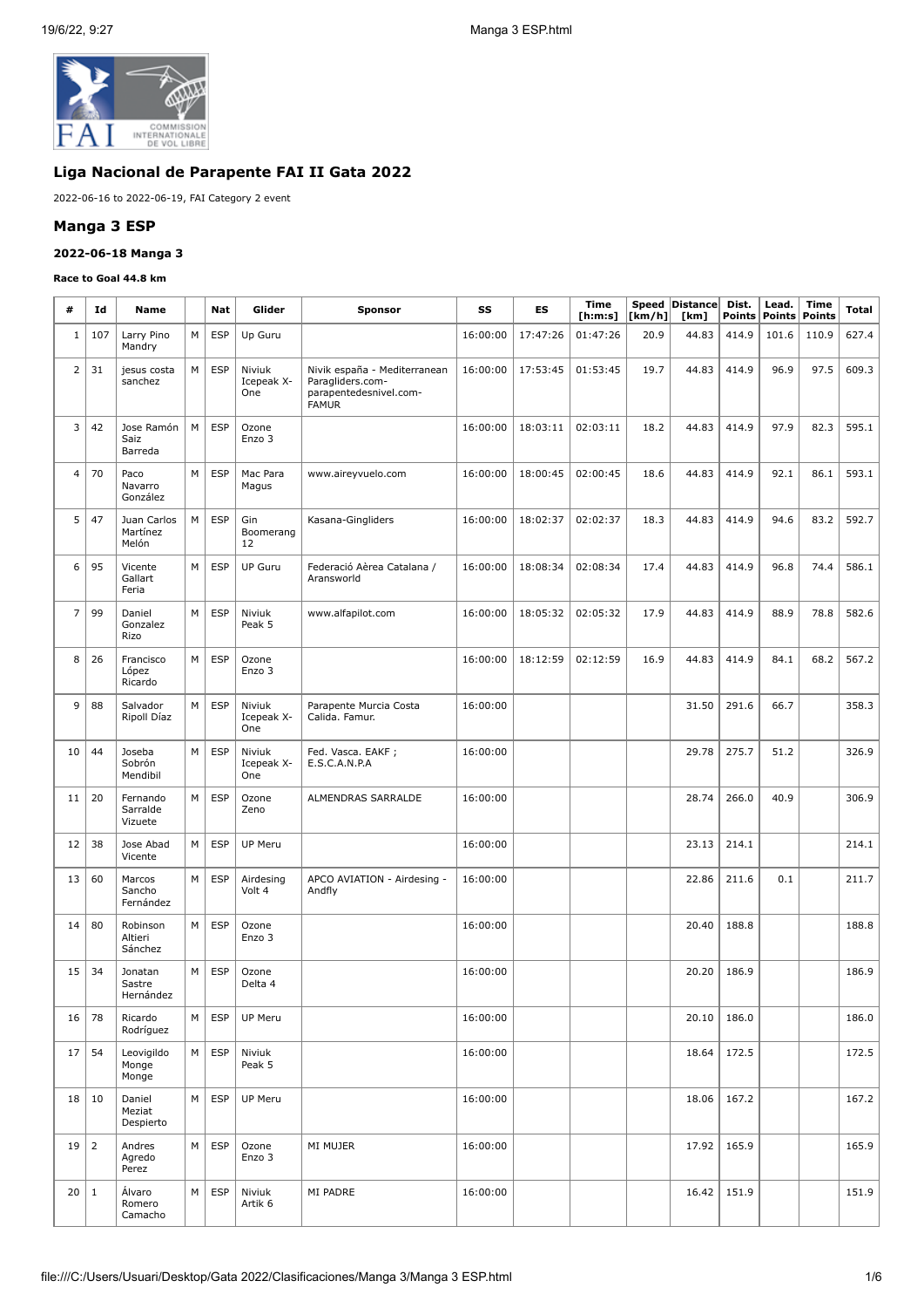

# **Liga Nacional de Parapente FAI II Gata 2022**

2022-06-16 to 2022-06-19, FAI Category 2 event

#### **Manga 3 ESP**

#### **2022-06-18 Manga 3**

#### **Race to Goal 44.8 km**

Ÿ

| #              | Id             | <b>Name</b>                      |   | Glider<br>Nat<br><b>Sponsor</b> |                             | SS                                                                                         | ES       | Time<br>[h:m:s] | [km/h]   | Speed   Distance  <br>[km] | Dist.<br><b>Points</b> | Lead.<br><b>Points</b> | Time<br>Points | Total |       |
|----------------|----------------|----------------------------------|---|---------------------------------|-----------------------------|--------------------------------------------------------------------------------------------|----------|-----------------|----------|----------------------------|------------------------|------------------------|----------------|-------|-------|
| $1\,$          | 107            | Larry Pino<br>Mandry             | M | <b>ESP</b>                      | Up Guru                     |                                                                                            | 16:00:00 | 17:47:26        | 01:47:26 | 20.9                       | 44.83                  | 414.9                  | 101.6          | 110.9 | 627.4 |
| $\overline{2}$ | 31             | jesus costa<br>sanchez           | M | <b>ESP</b>                      | Niviuk<br>Icepeak X-<br>One | Nivik españa - Mediterranean<br>Paragliders.com-<br>parapentedesnivel.com-<br><b>FAMUR</b> | 16:00:00 | 17:53:45        | 01:53:45 | 19.7                       | 44.83                  | 414.9                  | 96.9           | 97.5  | 609.3 |
| 3              | 42             | Jose Ramón<br>Saiz<br>Barreda    | M | <b>ESP</b>                      | Ozone<br>Enzo 3             |                                                                                            | 16:00:00 | 18:03:11        | 02:03:11 | 18.2                       | 44.83                  | 414.9                  | 97.9           | 82.3  | 595.1 |
| 4              | 70             | Paco<br>Navarro<br>González      | M | <b>ESP</b>                      | Mac Para<br>Magus           | www.aireyvuelo.com                                                                         | 16:00:00 | 18:00:45        | 02:00:45 | 18.6                       | 44.83                  | 414.9                  | 92.1           | 86.1  | 593.1 |
| 5              | 47             | Juan Carlos<br>Martínez<br>Melón | М | <b>ESP</b>                      | Gin<br>Boomerang<br>12      | Kasana-Gingliders                                                                          | 16:00:00 | 18:02:37        | 02:02:37 | 18.3                       | 44.83                  | 414.9                  | 94.6           | 83.2  | 592.7 |
| 6              | 95             | Vicente<br>Gallart<br>Feria      | М | <b>ESP</b>                      | <b>UP Guru</b>              | Federació Aèrea Catalana /<br>Aransworld                                                   | 16:00:00 | 18:08:34        | 02:08:34 | 17.4                       | 44.83                  | 414.9                  | 96.8           | 74.4  | 586.1 |
| $\overline{7}$ | 99             | Daniel<br>Gonzalez<br>Rizo       | M | <b>ESP</b>                      | Niviuk<br>Peak 5            | www.alfapilot.com                                                                          | 16:00:00 | 18:05:32        | 02:05:32 | 17.9                       | 44.83                  | 414.9                  | 88.9           | 78.8  | 582.6 |
| 8              | 26             | Francisco<br>López<br>Ricardo    | M | <b>ESP</b>                      | Ozone<br>Enzo 3             |                                                                                            | 16:00:00 | 18:12:59        | 02:12:59 | 16.9                       | 44.83                  | 414.9                  | 84.1           | 68.2  | 567.2 |
| 9              | 88             | Salvador<br>Ripoll Díaz          | M | <b>ESP</b>                      | Niviuk<br>Icepeak X-<br>One | Parapente Murcia Costa<br>Calida. Famur.                                                   | 16:00:00 |                 |          |                            | 31.50                  | 291.6                  | 66.7           |       | 358.3 |
| 10             | 44             | Joseba<br>Sobrón<br>Mendibil     | M | <b>ESP</b>                      | Niviuk<br>Icepeak X-<br>One | Fed. Vasca. EAKF;<br>E.S.C.A.N.P.A                                                         | 16:00:00 |                 |          |                            | 29.78                  | 275.7                  | 51.2           |       | 326.9 |
| 11             | 20             | Fernando<br>Sarralde<br>Vizuete  | М | <b>ESP</b>                      | Ozone<br>Zeno               | ALMENDRAS SARRALDE                                                                         | 16:00:00 |                 |          |                            | 28.74                  | 266.0                  | 40.9           |       | 306.9 |
| 12             | 38             | Jose Abad<br>Vicente             | M | <b>ESP</b>                      | UP Meru                     |                                                                                            | 16:00:00 |                 |          |                            | 23.13                  | 214.1                  |                |       | 214.1 |
| 13             | 60             | Marcos<br>Sancho<br>Fernández    | М | <b>ESP</b>                      | Airdesing<br>Volt 4         | APCO AVIATION - Airdesing -<br>Andfly                                                      | 16:00:00 |                 |          |                            | 22.86                  | 211.6                  | 0.1            |       | 211.7 |
| 14             | 80             | Robinson<br>Altieri<br>Sánchez   | М | <b>ESP</b>                      | Ozone<br>Enzo 3             |                                                                                            | 16:00:00 |                 |          |                            | 20.40                  | 188.8                  |                |       | 188.8 |
| 15             | 34             | Jonatan<br>Sastre<br>Hernández   | М | <b>ESP</b>                      | Ozone<br>Delta 4            |                                                                                            | 16:00:00 |                 |          |                            | 20.20                  | 186.9                  |                |       | 186.9 |
| 16             | 78             | Ricardo<br>Rodríguez             | М | <b>ESP</b>                      | UP Meru                     |                                                                                            | 16:00:00 |                 |          |                            | 20.10                  | 186.0                  |                |       | 186.0 |
| 17             | 54             | Leovigildo<br>Monge<br>Monge     | M | <b>ESP</b>                      | Niviuk<br>Peak 5            |                                                                                            | 16:00:00 |                 |          |                            | 18.64                  | 172.5                  |                |       | 172.5 |
| 18             | 10             | Daniel<br>Meziat<br>Despierto    | M | <b>ESP</b>                      | UP Meru                     |                                                                                            | 16:00:00 |                 |          |                            | 18.06                  | 167.2                  |                |       | 167.2 |
| 19             | $\overline{2}$ | Andres<br>Agredo<br>Perez        | М | <b>ESP</b>                      | Ozone<br>Enzo 3             | MI MUJER                                                                                   | 16:00:00 |                 |          |                            | 17.92                  | 165.9                  |                |       | 165.9 |
| 20             | $\mathbf{1}$   | Álvaro<br>Romero<br>Camacho      | М | <b>ESP</b>                      | Niviuk<br>Artik 6           | MI PADRE                                                                                   | 16:00:00 |                 |          |                            | 16.42                  | 151.9                  |                |       | 151.9 |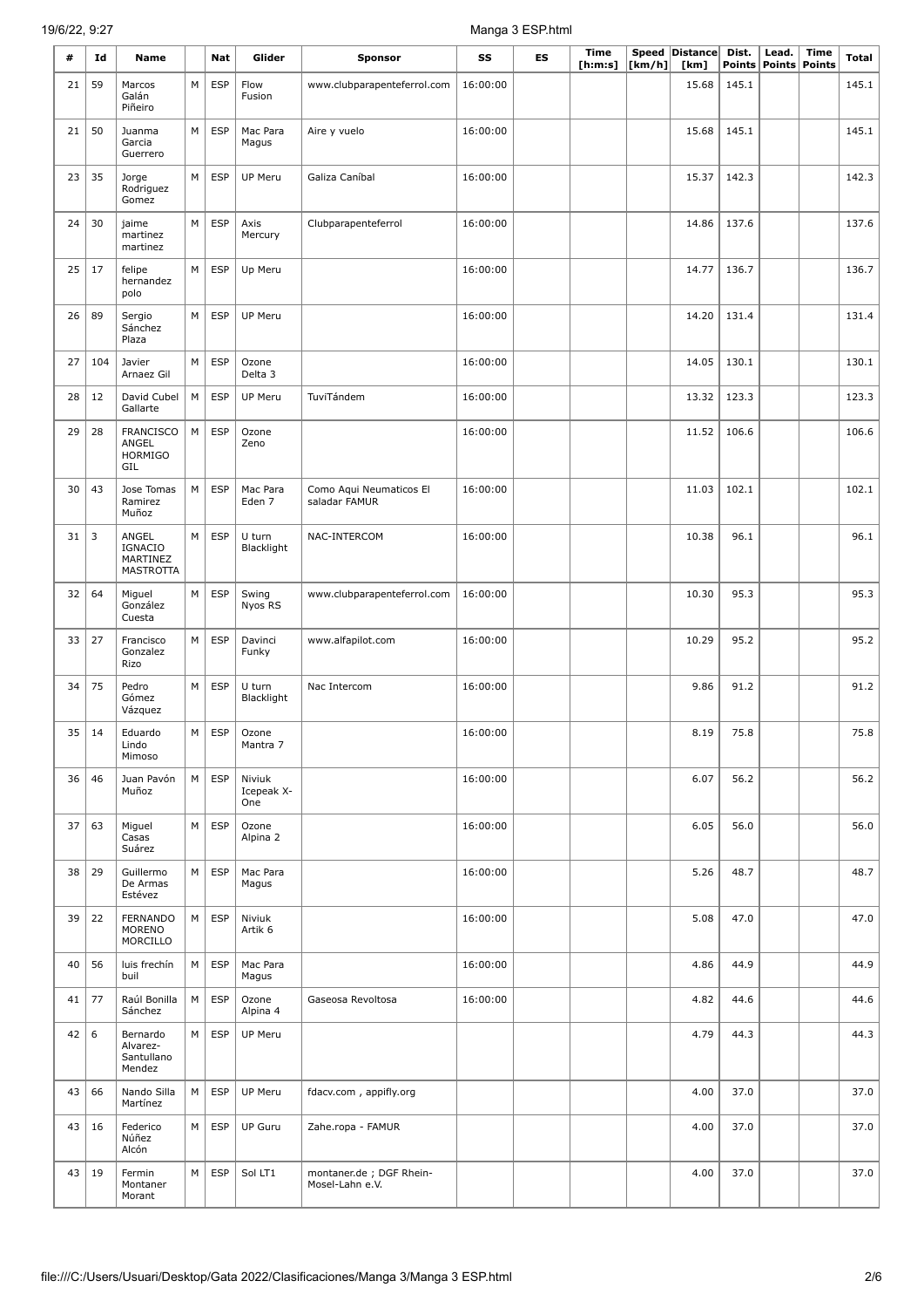# 19/6/22, 9:27 Manga 3 ESP.html

| #  | Id  | Name                                                    |   | <b>Nat</b> | Glider                      | <b>Sponsor</b>                             | SS       | ES | <b>Time</b><br>[h:m:s] | [km/h] | Speed Distance<br>[km] | Dist. | Lead.<br>Points Points | <b>Time</b><br><b>Points</b> | Total |
|----|-----|---------------------------------------------------------|---|------------|-----------------------------|--------------------------------------------|----------|----|------------------------|--------|------------------------|-------|------------------------|------------------------------|-------|
| 21 | 59  | Marcos<br>Galán<br>Piñeiro                              | M | <b>ESP</b> | Flow<br>Fusion              | www.clubparapenteferrol.com                | 16:00:00 |    |                        | 15.68  | 145.1                  |       |                        | 145.1                        |       |
| 21 | 50  | Juanma<br>Garcia<br>Guerrero                            | М | <b>ESP</b> | Mac Para<br>Magus           | Aire y vuelo                               | 16:00:00 |    |                        |        | 15.68                  | 145.1 |                        |                              | 145.1 |
| 23 | 35  | Jorge<br>Rodriguez<br>Gomez                             | М | <b>ESP</b> | UP Meru                     | Galiza Caníbal                             | 16:00:00 |    |                        |        | 15.37                  | 142.3 |                        |                              | 142.3 |
| 24 | 30  | jaime<br>martinez<br>martinez                           | М | <b>ESP</b> | Axis<br>Mercury             | Clubparapenteferrol                        | 16:00:00 |    |                        |        | 14.86                  | 137.6 |                        |                              | 137.6 |
| 25 | 17  | felipe<br>hernandez<br>polo                             | M | <b>ESP</b> | Up Meru                     |                                            | 16:00:00 |    |                        |        | 14.77                  | 136.7 |                        |                              | 136.7 |
| 26 | 89  | Sergio<br>Sánchez<br>Plaza                              | M | <b>ESP</b> | UP Meru                     |                                            | 16:00:00 |    |                        |        | 14.20                  | 131.4 |                        |                              | 131.4 |
| 27 | 104 | Javier<br>Arnaez Gil                                    | M | <b>ESP</b> | Ozone<br>Delta 3            |                                            | 16:00:00 |    |                        |        | 14.05                  | 130.1 |                        |                              | 130.1 |
| 28 | 12  | David Cubel<br>Gallarte                                 | M | <b>ESP</b> | <b>UP Meru</b>              | TuviTándem                                 | 16:00:00 |    |                        |        | 13.32                  | 123.3 |                        |                              | 123.3 |
| 29 | 28  | <b>FRANCISCO</b><br>ANGEL<br><b>HORMIGO</b><br>GIL      | М | <b>ESP</b> | Ozone<br>Zeno               |                                            | 16:00:00 |    |                        |        | 11.52                  | 106.6 |                        |                              | 106.6 |
| 30 | 43  | Jose Tomas<br>Ramirez<br>Muñoz                          | M | <b>ESP</b> | Mac Para<br>Eden 7          | Como Aqui Neumaticos El<br>saladar FAMUR   | 16:00:00 |    |                        |        | 11.03                  | 102.1 |                        |                              | 102.1 |
| 31 | 3   | ANGEL<br><b>IGNACIO</b><br>MARTINEZ<br><b>MASTROTTA</b> | M | <b>ESP</b> | U turn<br>Blacklight        | NAC-INTERCOM                               | 16:00:00 |    |                        |        | 10.38                  | 96.1  |                        |                              | 96.1  |
| 32 | 64  | Miguel<br>González<br>Cuesta                            | М | <b>ESP</b> | Swing<br>Nyos RS            | www.clubparapenteferrol.com                | 16:00:00 |    |                        |        | 10.30                  | 95.3  |                        |                              | 95.3  |
| 33 | 27  | Francisco<br>Gonzalez<br>Rizo                           | М | <b>ESP</b> | Davinci<br>Funky            | www.alfapilot.com                          | 16:00:00 |    |                        |        | 10.29                  | 95.2  |                        |                              | 95.2  |
| 34 | 75  | Pedro<br>Gómez<br>Vázquez                               | M | ESP        | U turn<br>Blacklight        | Nac Intercom                               | 16:00:00 |    |                        |        | 9.86                   | 91.2  |                        |                              | 91.2  |
| 35 | 14  | Eduardo<br>Lindo<br>Mimoso                              | М | <b>ESP</b> | Ozone<br>Mantra 7           |                                            | 16:00:00 |    |                        |        | 8.19                   | 75.8  |                        |                              | 75.8  |
| 36 | 46  | Juan Pavón<br>Muñoz                                     | М | <b>ESP</b> | Niviuk<br>Icepeak X-<br>One |                                            | 16:00:00 |    |                        |        | 6.07                   | 56.2  |                        |                              | 56.2  |
| 37 | 63  | Miguel<br>Casas<br>Suárez                               | М | <b>ESP</b> | Ozone<br>Alpina 2           |                                            | 16:00:00 |    |                        |        | 6.05                   | 56.0  |                        |                              | 56.0  |
| 38 | 29  | Guillermo<br>De Armas<br>Estévez                        | М | <b>ESP</b> | Mac Para<br>Magus           |                                            | 16:00:00 |    |                        |        | 5.26                   | 48.7  |                        |                              | 48.7  |
| 39 | 22  | <b>FERNANDO</b><br><b>MORENO</b><br>MORCILLO            | М | <b>ESP</b> | Niviuk<br>Artik 6           |                                            | 16:00:00 |    |                        |        | 5.08                   | 47.0  |                        |                              | 47.0  |
| 40 | 56  | luis frechín<br>buil                                    | М | <b>ESP</b> | Mac Para<br>Magus           |                                            | 16:00:00 |    |                        |        | 4.86                   | 44.9  |                        |                              | 44.9  |
| 41 | 77  | Raúl Bonilla<br>Sánchez                                 | М | <b>ESP</b> | Ozone<br>Alpina 4           | Gaseosa Revoltosa                          | 16:00:00 |    |                        |        | 4.82                   | 44.6  |                        |                              | 44.6  |
| 42 | 6   | Bernardo<br>Alvarez-<br>Santullano<br>Mendez            | М | <b>ESP</b> | UP Meru                     |                                            |          |    |                        |        | 4.79                   | 44.3  |                        |                              | 44.3  |
| 43 | 66  | Nando Silla<br>Martínez                                 | M | <b>ESP</b> | UP Meru                     | fdacv.com, appifly.org                     |          |    |                        |        | 4.00                   | 37.0  |                        |                              | 37.0  |
| 43 | 16  | Federico<br>Núñez<br>Alcón                              | М | <b>ESP</b> | UP Guru                     | Zahe.ropa - FAMUR                          |          |    |                        |        | 4.00                   | 37.0  |                        |                              | 37.0  |
| 43 | 19  | Fermin<br>Montaner<br>Morant                            | М | <b>ESP</b> | Sol LT1                     | montaner.de; DGF Rhein-<br>Mosel-Lahn e.V. |          |    |                        |        | 4.00                   | 37.0  |                        |                              | 37.0  |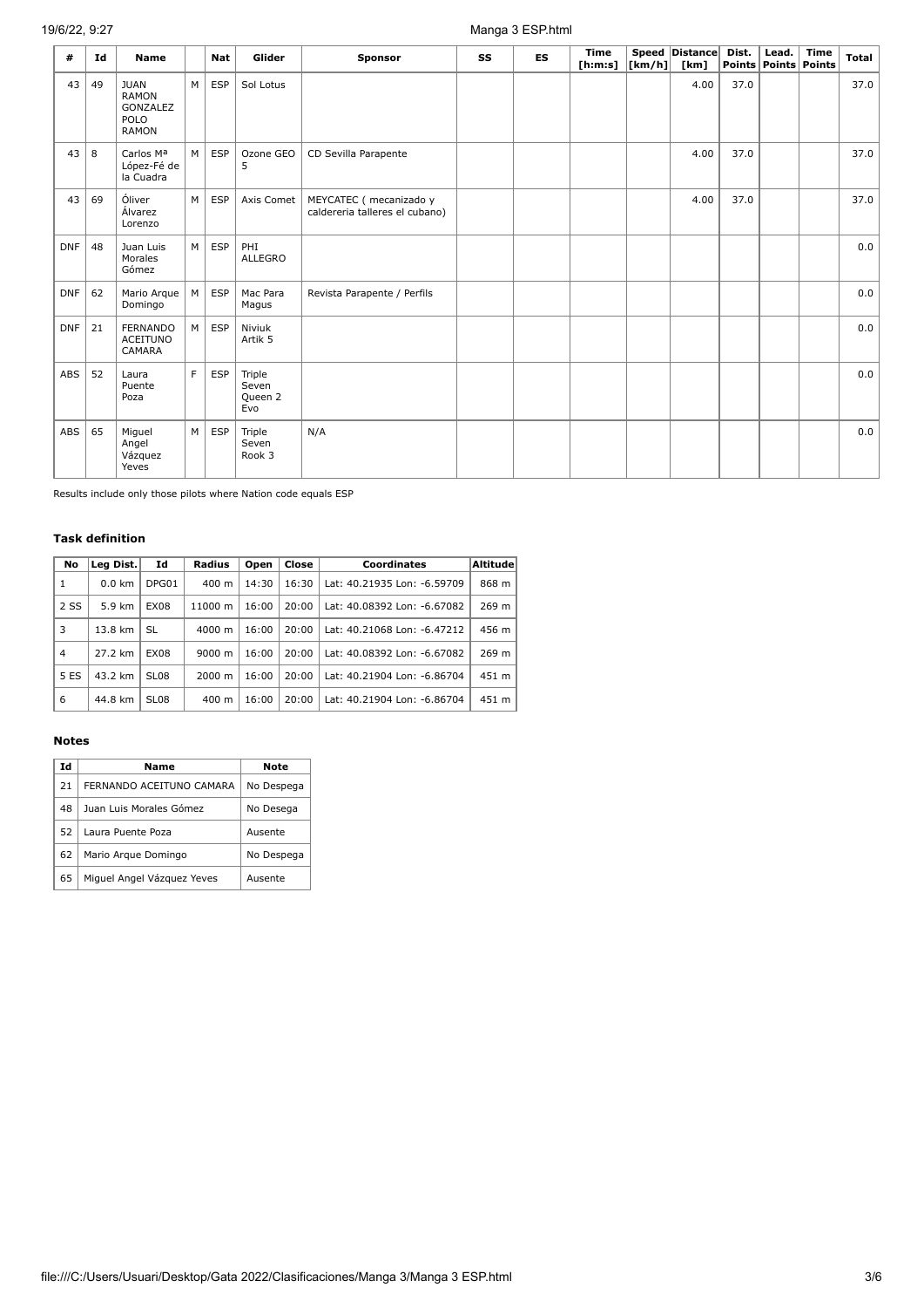# 19/6/22, 9:27 Manga 3 ESP.html

| #          | Ιd | Name                                                            |   | Nat        | Glider                            | <b>Sponsor</b>                                            | SS | ES | <b>Time</b><br>[h:m:s] | $\lfloor \lfloor km/h \rfloor \rfloor$ | Speed Distance<br>[km] | Dist. | Lead.<br>Points Points Points | <b>Time</b> | Total |
|------------|----|-----------------------------------------------------------------|---|------------|-----------------------------------|-----------------------------------------------------------|----|----|------------------------|----------------------------------------|------------------------|-------|-------------------------------|-------------|-------|
| 43         | 49 | <b>JUAN</b><br><b>RAMON</b><br>GONZALEZ<br>POLO<br><b>RAMON</b> | M | <b>ESP</b> | Sol Lotus                         |                                                           |    |    |                        |                                        | 4.00                   | 37.0  |                               |             | 37.0  |
| 43         | 8  | Carlos Ma<br>López-Fé de<br>la Cuadra                           | M | <b>ESP</b> | Ozone GEO<br>5                    | CD Sevilla Parapente                                      |    |    |                        |                                        | 4.00                   | 37.0  |                               |             | 37.0  |
| 43         | 69 | Óliver<br>Álvarez<br>Lorenzo                                    | M | <b>ESP</b> | Axis Comet                        | MEYCATEC ( mecanizado y<br>caldereria talleres el cubano) |    |    |                        |                                        | 4.00                   | 37.0  |                               |             | 37.0  |
| <b>DNF</b> | 48 | Juan Luis<br>Morales<br>Gómez                                   | M | <b>ESP</b> | PHI<br>ALLEGRO                    |                                                           |    |    |                        |                                        |                        |       |                               |             | 0.0   |
| <b>DNF</b> | 62 | Mario Arque<br>Domingo                                          | M | <b>ESP</b> | Mac Para<br>Magus                 | Revista Parapente / Perfils                               |    |    |                        |                                        |                        |       |                               |             | 0.0   |
| <b>DNF</b> | 21 | <b>FERNANDO</b><br><b>ACEITUNO</b><br>CAMARA                    | M | <b>ESP</b> | Niviuk<br>Artik 5                 |                                                           |    |    |                        |                                        |                        |       |                               |             | 0.0   |
| ABS        | 52 | Laura<br>Puente<br>Poza                                         | F | <b>ESP</b> | Triple<br>Seven<br>Queen 2<br>Evo |                                                           |    |    |                        |                                        |                        |       |                               |             | 0.0   |
| ABS        | 65 | Miguel<br>Angel<br>Vázquez<br>Yeves                             | M | <b>ESP</b> | Triple<br>Seven<br>Rook 3         | N/A                                                       |    |    |                        |                                        |                        |       |                               |             | 0.0   |

Results include only those pilots where Nation code equals ESP

#### **Task definition**

| No   | Leg Dist.        | Id          | Radius             | Open  | Close | Coordinates                 | Altitude |
|------|------------------|-------------|--------------------|-------|-------|-----------------------------|----------|
| 1    | $0.0 \text{ km}$ | DPG01       | $400 \text{ m}$    | 14:30 | 16:30 | Lat: 40.21935 Lon: -6.59709 | 868 m    |
| 2 SS | 5.9 km           | <b>EX08</b> | 11000 m            | 16:00 | 20:00 | Lat: 40.08392 Lon: -6.67082 | 269 m    |
| 3    | 13.8 km          | SL.         | $4000 \; \text{m}$ | 16:00 | 20:00 | Lat: 40.21068 Lon: -6.47212 | 456 m    |
| 4    | 27.2 km          | <b>EX08</b> | 9000 m             | 16:00 | 20:00 | Lat: 40.08392 Lon: -6.67082 | 269 m    |
| 5 ES | 43.2 km          | SL08        | 2000 m             | 16:00 | 20:00 | Lat: 40.21904 Lon: -6.86704 | 451 m    |
| 6    | 44.8 km          | SL08        | $400 \text{ m}$    | 16:00 | 20:00 | Lat: 40.21904 Lon: -6.86704 | 451 m    |

#### **Notes**

| Ιd | Name                       | Note       |
|----|----------------------------|------------|
| 21 | FERNANDO ACEITUNO CAMARA   | No Despega |
| 48 | Juan Luis Morales Gómez    | No Desega  |
| 52 | Laura Puente Poza          | Ausente    |
| 62 | Mario Arque Domingo        | No Despega |
| 65 | Miguel Angel Vázguez Yeves | Ausente    |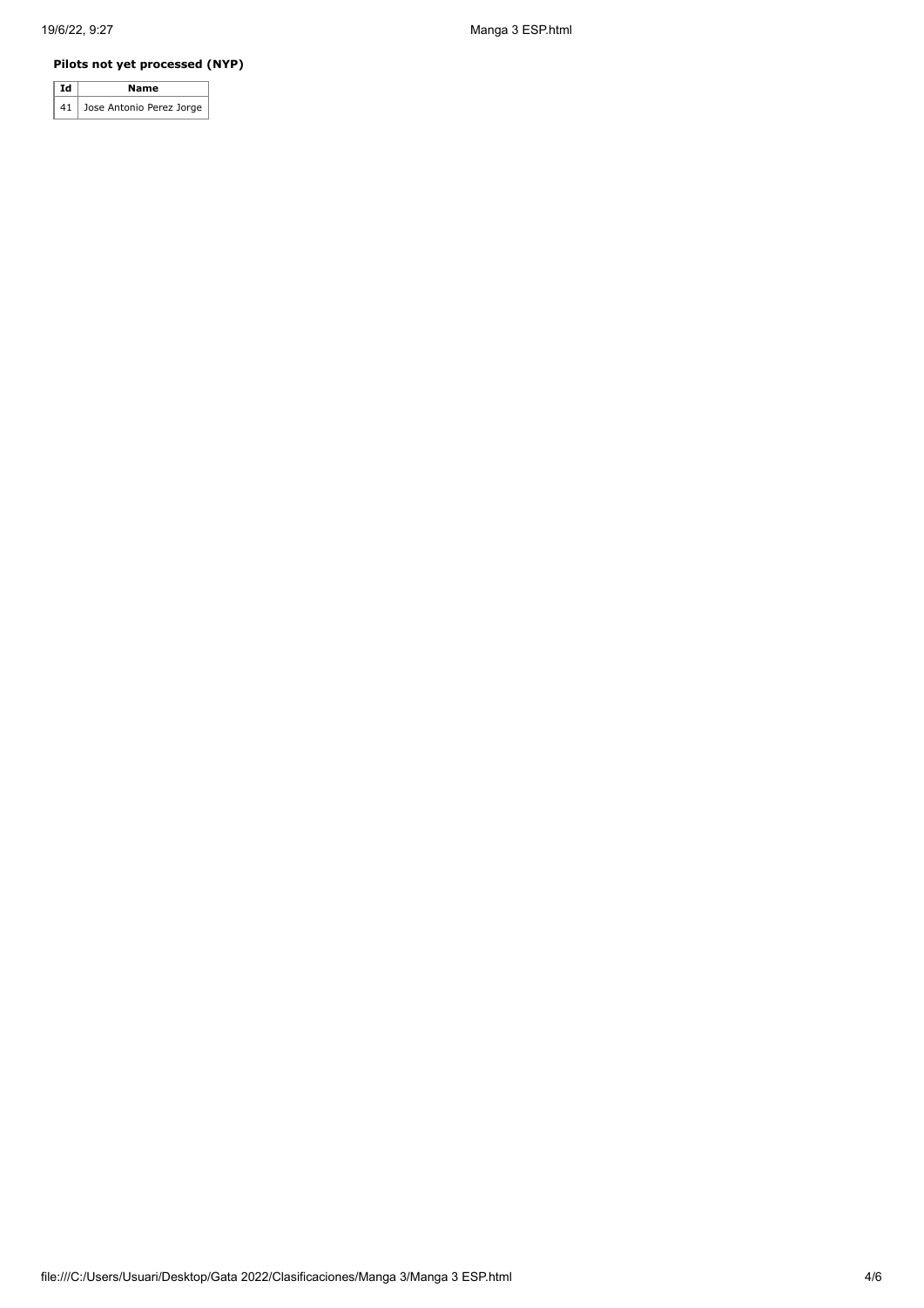### **Pilots not yet processed (NYP)**

| l Id | Name                        |
|------|-----------------------------|
|      | 41 Jose Antonio Perez Jorge |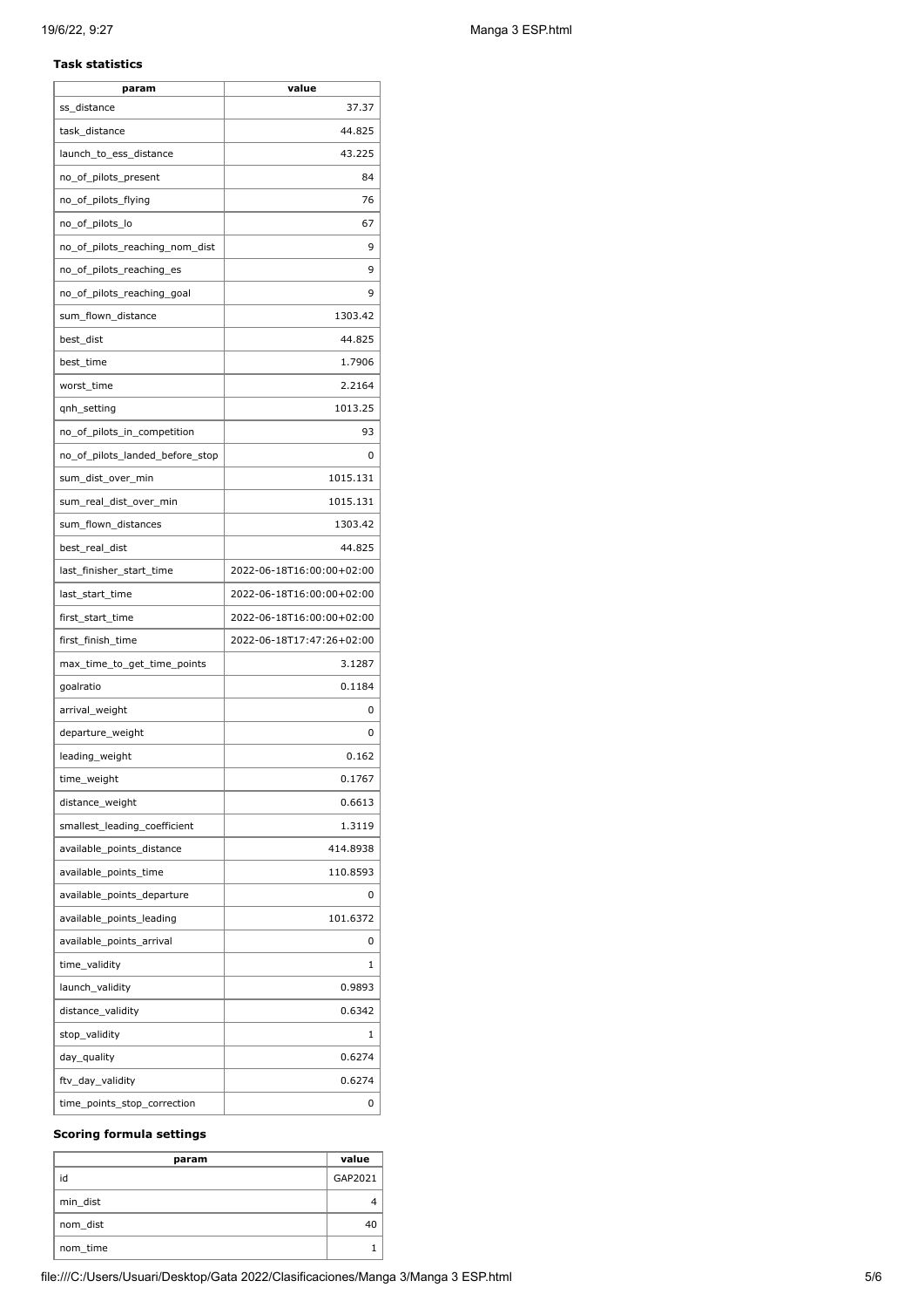#### **Task statistics**

| param                           | value                     |
|---------------------------------|---------------------------|
| ss_distance                     | 37.37                     |
| task_distance                   | 44.825                    |
| launch_to_ess_distance          | 43.225                    |
| no_of_pilots_present            | 84                        |
| no_of_pilots_flying             | 76                        |
| no_of_pilots_lo                 | 67                        |
| no_of_pilots_reaching_nom_dist  | 9                         |
| no_of_pilots_reaching_es        | 9                         |
| no_of_pilots_reaching_goal      | 9                         |
| sum_flown_distance              | 1303.42                   |
| best_dist                       | 44.825                    |
| best_time                       | 1.7906                    |
| worst time                      | 2.2164                    |
| qnh_setting                     | 1013.25                   |
| no_of_pilots_in_competition     | 93                        |
| no_of_pilots_landed_before_stop | 0                         |
| sum dist over min               | 1015.131                  |
| sum_real_dist_over_min          | 1015.131                  |
| sum_flown_distances             | 1303.42                   |
| best_real_dist                  | 44.825                    |
| last_finisher_start_time        | 2022-06-18T16:00:00+02:00 |
| last_start_time                 | 2022-06-18T16:00:00+02:00 |
| first_start_time                | 2022-06-18T16:00:00+02:00 |
| first_finish_time               | 2022-06-18T17:47:26+02:00 |
| max_time_to_get_time_points     | 3.1287                    |
| goalratio                       | 0.1184                    |
| arrival_weight                  | 0                         |
| departure_weight                | 0                         |
| leading_weight                  | 0.162                     |
| time_weight                     | 0.1767                    |
| distance_weight                 | 0.6613                    |
| smallest_leading_coefficient    | 1.3119                    |
| available_points_distance       | 414.8938                  |
| available_points_time           | 110.8593                  |
| available_points_departure      | 0                         |
| available_points_leading        | 101.6372                  |
| available_points_arrival        | 0                         |
|                                 | 1                         |
| time_validity                   |                           |
| launch_validity                 | 0.9893                    |
| distance_validity               | 0.6342                    |
| stop_validity                   | 1                         |
| day_quality                     | 0.6274                    |
| ftv_day_validity                | 0.6274                    |
| time_points_stop_correction     | 0                         |

#### **Scoring formula settings**

| param    | value   |
|----------|---------|
| id       | GAP2021 |
| min_dist |         |
| nom_dist |         |
| nom time |         |